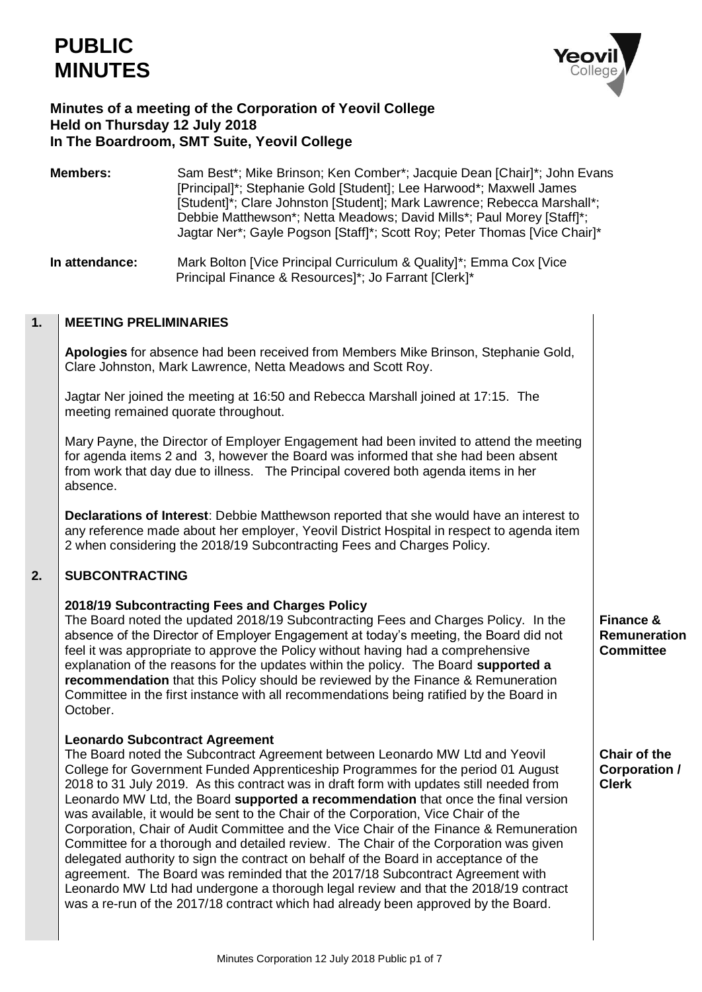

# **Minutes of a meeting of the Corporation of Yeovil College Held on Thursday 12 July 2018 In The Boardroom, SMT Suite, Yeovil College**

**Members:** Sam Best\*; Mike Brinson; Ken Comber\*; Jacquie Dean [Chair]\*; John Evans [Principal]\*; Stephanie Gold [Student]; Lee Harwood\*; Maxwell James [Student]\*; Clare Johnston [Student]; Mark Lawrence; Rebecca Marshall\*; Debbie Matthewson\*; Netta Meadows; David Mills\*; Paul Morey [Staff]\*; Jagtar Ner\*; Gayle Pogson [Staff]\*; Scott Roy; Peter Thomas [Vice Chair]\*

**In attendance:** Mark Bolton [Vice Principal Curriculum & Quality]\*; Emma Cox [Vice Principal Finance & Resources]\*; Jo Farrant [Clerk]\*

#### **1. MEETING PRELIMINARIES**

**Apologies** for absence had been received from Members Mike Brinson, Stephanie Gold, Clare Johnston, Mark Lawrence, Netta Meadows and Scott Roy.

Jagtar Ner joined the meeting at 16:50 and Rebecca Marshall joined at 17:15. The meeting remained quorate throughout.

Mary Payne, the Director of Employer Engagement had been invited to attend the meeting for agenda items 2 and 3, however the Board was informed that she had been absent from work that day due to illness. The Principal covered both agenda items in her absence.

**Declarations of Interest**: Debbie Matthewson reported that she would have an interest to any reference made about her employer, Yeovil District Hospital in respect to agenda item 2 when considering the 2018/19 Subcontracting Fees and Charges Policy.

### **2. SUBCONTRACTING**

# **2018/19 Subcontracting Fees and Charges Policy**

The Board noted the updated 2018/19 Subcontracting Fees and Charges Policy. In the absence of the Director of Employer Engagement at today's meeting, the Board did not feel it was appropriate to approve the Policy without having had a comprehensive explanation of the reasons for the updates within the policy. The Board **supported a recommendation** that this Policy should be reviewed by the Finance & Remuneration Committee in the first instance with all recommendations being ratified by the Board in October.

# **Leonardo Subcontract Agreement**

The Board noted the Subcontract Agreement between Leonardo MW Ltd and Yeovil College for Government Funded Apprenticeship Programmes for the period 01 August 2018 to 31 July 2019. As this contract was in draft form with updates still needed from Leonardo MW Ltd, the Board **supported a recommendation** that once the final version was available, it would be sent to the Chair of the Corporation, Vice Chair of the Corporation, Chair of Audit Committee and the Vice Chair of the Finance & Remuneration Committee for a thorough and detailed review. The Chair of the Corporation was given delegated authority to sign the contract on behalf of the Board in acceptance of the agreement. The Board was reminded that the 2017/18 Subcontract Agreement with Leonardo MW Ltd had undergone a thorough legal review and that the 2018/19 contract was a re-run of the 2017/18 contract which had already been approved by the Board.

**Finance & Remuneration Committee**

**Chair of the Corporation / Clerk**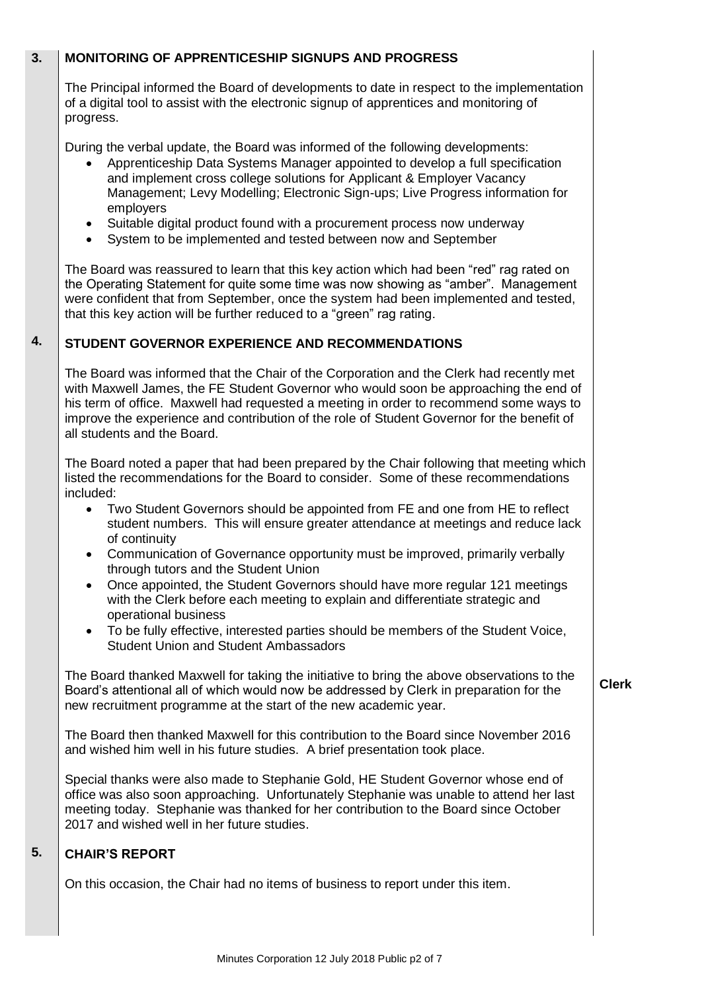### **3. MONITORING OF APPRENTICESHIP SIGNUPS AND PROGRESS**

The Principal informed the Board of developments to date in respect to the implementation of a digital tool to assist with the electronic signup of apprentices and monitoring of progress.

During the verbal update, the Board was informed of the following developments:

- Apprenticeship Data Systems Manager appointed to develop a full specification and implement cross college solutions for Applicant & Employer Vacancy Management; Levy Modelling; Electronic Sign-ups; Live Progress information for employers
- Suitable digital product found with a procurement process now underway
- System to be implemented and tested between now and September

The Board was reassured to learn that this key action which had been "red" rag rated on the Operating Statement for quite some time was now showing as "amber". Management were confident that from September, once the system had been implemented and tested, that this key action will be further reduced to a "green" rag rating.

### **4. STUDENT GOVERNOR EXPERIENCE AND RECOMMENDATIONS**

The Board was informed that the Chair of the Corporation and the Clerk had recently met with Maxwell James, the FE Student Governor who would soon be approaching the end of his term of office. Maxwell had requested a meeting in order to recommend some ways to improve the experience and contribution of the role of Student Governor for the benefit of all students and the Board.

The Board noted a paper that had been prepared by the Chair following that meeting which listed the recommendations for the Board to consider. Some of these recommendations included:

- Two Student Governors should be appointed from FE and one from HE to reflect student numbers. This will ensure greater attendance at meetings and reduce lack of continuity
- Communication of Governance opportunity must be improved, primarily verbally through tutors and the Student Union
- Once appointed, the Student Governors should have more regular 121 meetings with the Clerk before each meeting to explain and differentiate strategic and operational business
- To be fully effective, interested parties should be members of the Student Voice, Student Union and Student Ambassadors

The Board thanked Maxwell for taking the initiative to bring the above observations to the Board's attentional all of which would now be addressed by Clerk in preparation for the new recruitment programme at the start of the new academic year.

**Clerk**

The Board then thanked Maxwell for this contribution to the Board since November 2016 and wished him well in his future studies. A brief presentation took place.

Special thanks were also made to Stephanie Gold, HE Student Governor whose end of office was also soon approaching. Unfortunately Stephanie was unable to attend her last meeting today. Stephanie was thanked for her contribution to the Board since October 2017 and wished well in her future studies.

#### **5. CHAIR'S REPORT**

On this occasion, the Chair had no items of business to report under this item.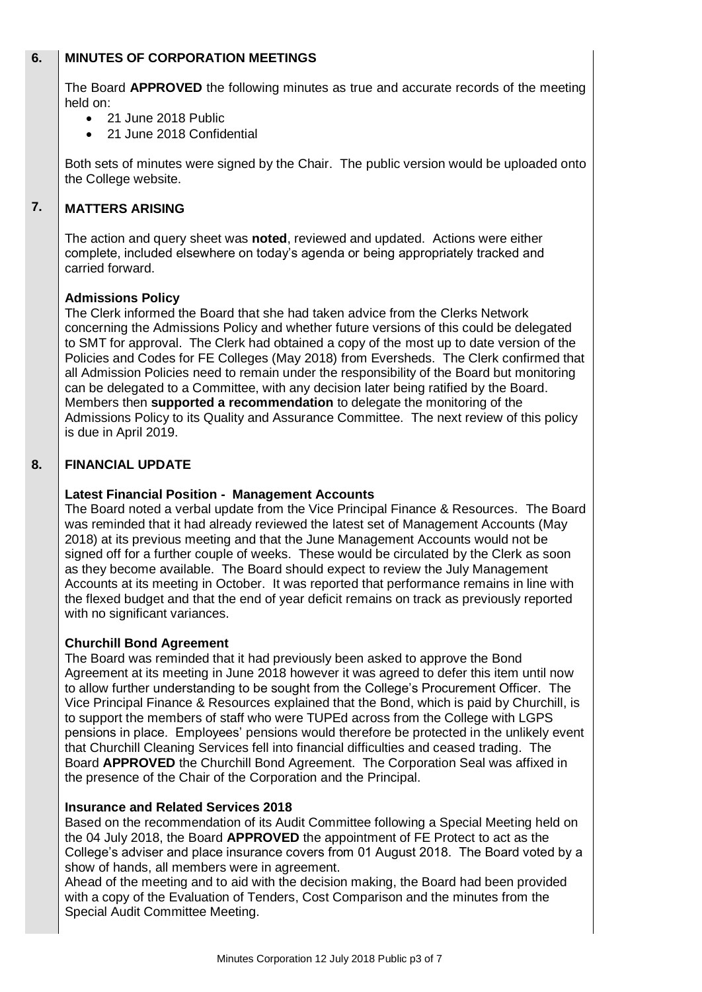### **6. MINUTES OF CORPORATION MEETINGS**

The Board **APPROVED** the following minutes as true and accurate records of the meeting held on:

- 21 June 2018 Public
- 21 June 2018 Confidential

Both sets of minutes were signed by the Chair. The public version would be uploaded onto the College website.

### **7. MATTERS ARISING**

The action and query sheet was **noted**, reviewed and updated. Actions were either complete, included elsewhere on today's agenda or being appropriately tracked and carried forward.

# **Admissions Policy**

The Clerk informed the Board that she had taken advice from the Clerks Network concerning the Admissions Policy and whether future versions of this could be delegated to SMT for approval. The Clerk had obtained a copy of the most up to date version of the Policies and Codes for FE Colleges (May 2018) from Eversheds. The Clerk confirmed that all Admission Policies need to remain under the responsibility of the Board but monitoring can be delegated to a Committee, with any decision later being ratified by the Board. Members then **supported a recommendation** to delegate the monitoring of the Admissions Policy to its Quality and Assurance Committee. The next review of this policy is due in April 2019.

#### **8. FINANCIAL UPDATE**

# **Latest Financial Position - Management Accounts**

The Board noted a verbal update from the Vice Principal Finance & Resources. The Board was reminded that it had already reviewed the latest set of Management Accounts (May 2018) at its previous meeting and that the June Management Accounts would not be signed off for a further couple of weeks. These would be circulated by the Clerk as soon as they become available. The Board should expect to review the July Management Accounts at its meeting in October. It was reported that performance remains in line with the flexed budget and that the end of year deficit remains on track as previously reported with no significant variances.

## **Churchill Bond Agreement**

The Board was reminded that it had previously been asked to approve the Bond Agreement at its meeting in June 2018 however it was agreed to defer this item until now to allow further understanding to be sought from the College's Procurement Officer. The Vice Principal Finance & Resources explained that the Bond, which is paid by Churchill, is to support the members of staff who were TUPEd across from the College with LGPS pensions in place. Employees' pensions would therefore be protected in the unlikely event that Churchill Cleaning Services fell into financial difficulties and ceased trading. The Board **APPROVED** the Churchill Bond Agreement. The Corporation Seal was affixed in the presence of the Chair of the Corporation and the Principal.

## **Insurance and Related Services 2018**

Based on the recommendation of its Audit Committee following a Special Meeting held on the 04 July 2018, the Board **APPROVED** the appointment of FE Protect to act as the College's adviser and place insurance covers from 01 August 2018. The Board voted by a show of hands, all members were in agreement.

Ahead of the meeting and to aid with the decision making, the Board had been provided with a copy of the Evaluation of Tenders, Cost Comparison and the minutes from the Special Audit Committee Meeting.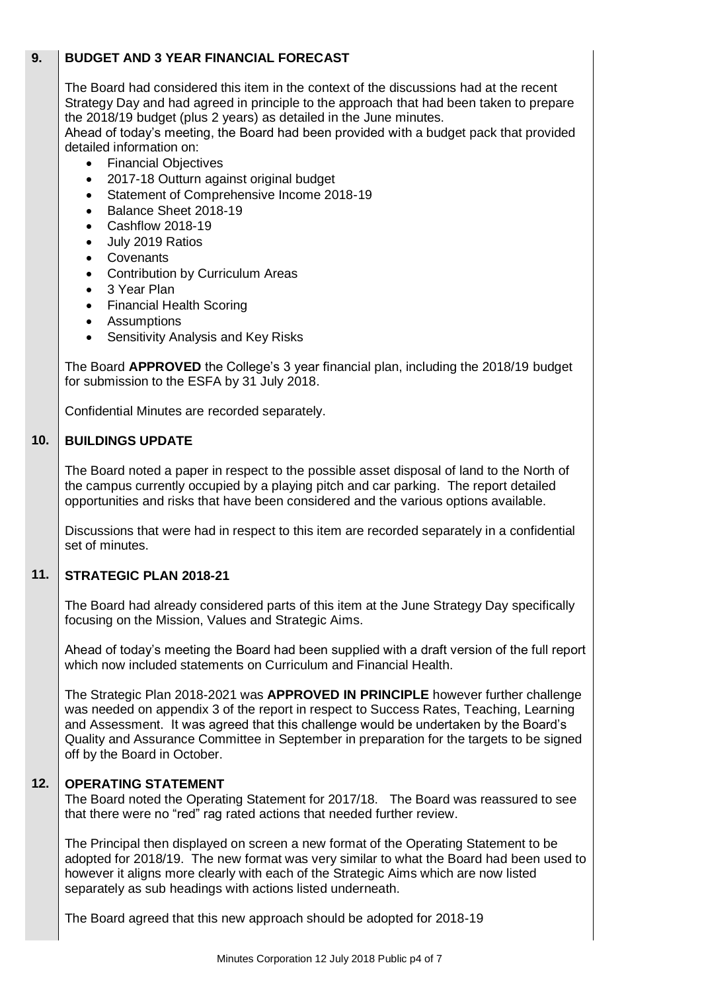### **9. BUDGET AND 3 YEAR FINANCIAL FORECAST**

The Board had considered this item in the context of the discussions had at the recent Strategy Day and had agreed in principle to the approach that had been taken to prepare the 2018/19 budget (plus 2 years) as detailed in the June minutes.

Ahead of today's meeting, the Board had been provided with a budget pack that provided detailed information on:

- Financial Objectives
- 2017-18 Outturn against original budget
- Statement of Comprehensive Income 2018-19
- Balance Sheet 2018-19
- Cashflow 2018-19
- July 2019 Ratios
- Covenants
- Contribution by Curriculum Areas
- 3 Year Plan
- Financial Health Scoring
- Assumptions
- Sensitivity Analysis and Key Risks

The Board **APPROVED** the College's 3 year financial plan, including the 2018/19 budget for submission to the ESFA by 31 July 2018.

Confidential Minutes are recorded separately.

#### **10. BUILDINGS UPDATE**

The Board noted a paper in respect to the possible asset disposal of land to the North of the campus currently occupied by a playing pitch and car parking. The report detailed opportunities and risks that have been considered and the various options available.

Discussions that were had in respect to this item are recorded separately in a confidential set of minutes.

### **11. STRATEGIC PLAN 2018-21**

The Board had already considered parts of this item at the June Strategy Day specifically focusing on the Mission, Values and Strategic Aims.

Ahead of today's meeting the Board had been supplied with a draft version of the full report which now included statements on Curriculum and Financial Health.

The Strategic Plan 2018-2021 was **APPROVED IN PRINCIPLE** however further challenge was needed on appendix 3 of the report in respect to Success Rates, Teaching, Learning and Assessment. It was agreed that this challenge would be undertaken by the Board's Quality and Assurance Committee in September in preparation for the targets to be signed off by the Board in October.

#### **12. OPERATING STATEMENT**

The Board noted the Operating Statement for 2017/18. The Board was reassured to see that there were no "red" rag rated actions that needed further review.

The Principal then displayed on screen a new format of the Operating Statement to be adopted for 2018/19. The new format was very similar to what the Board had been used to however it aligns more clearly with each of the Strategic Aims which are now listed separately as sub headings with actions listed underneath.

The Board agreed that this new approach should be adopted for 2018-19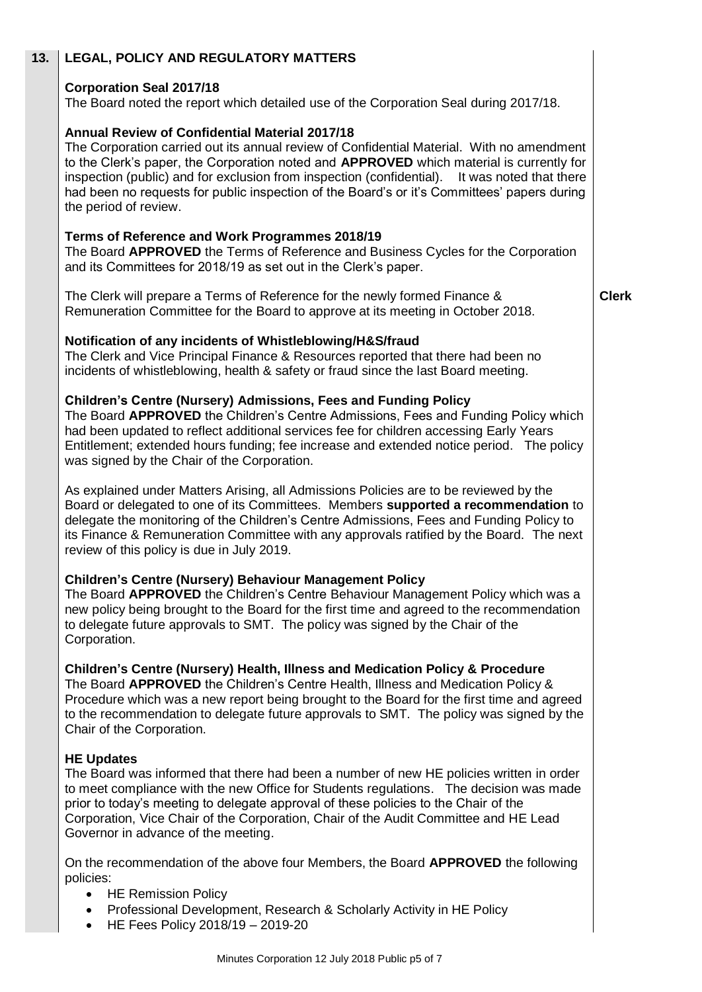| 13. | <b>LEGAL, POLICY AND REGULATORY MATTERS</b>                                                                                                                                                                                                                                                                                                                                                                                                                             |              |
|-----|-------------------------------------------------------------------------------------------------------------------------------------------------------------------------------------------------------------------------------------------------------------------------------------------------------------------------------------------------------------------------------------------------------------------------------------------------------------------------|--------------|
|     | <b>Corporation Seal 2017/18</b><br>The Board noted the report which detailed use of the Corporation Seal during 2017/18.                                                                                                                                                                                                                                                                                                                                                |              |
|     | <b>Annual Review of Confidential Material 2017/18</b><br>The Corporation carried out its annual review of Confidential Material. With no amendment<br>to the Clerk's paper, the Corporation noted and APPROVED which material is currently for<br>inspection (public) and for exclusion from inspection (confidential). It was noted that there<br>had been no requests for public inspection of the Board's or it's Committees' papers during<br>the period of review. |              |
|     | Terms of Reference and Work Programmes 2018/19<br>The Board APPROVED the Terms of Reference and Business Cycles for the Corporation<br>and its Committees for 2018/19 as set out in the Clerk's paper.                                                                                                                                                                                                                                                                  |              |
|     | The Clerk will prepare a Terms of Reference for the newly formed Finance &<br>Remuneration Committee for the Board to approve at its meeting in October 2018.                                                                                                                                                                                                                                                                                                           | <b>Clerk</b> |
|     | Notification of any incidents of Whistleblowing/H&S/fraud<br>The Clerk and Vice Principal Finance & Resources reported that there had been no<br>incidents of whistleblowing, health & safety or fraud since the last Board meeting.                                                                                                                                                                                                                                    |              |
|     | <b>Children's Centre (Nursery) Admissions, Fees and Funding Policy</b><br>The Board APPROVED the Children's Centre Admissions, Fees and Funding Policy which<br>had been updated to reflect additional services fee for children accessing Early Years<br>Entitlement; extended hours funding; fee increase and extended notice period. The policy<br>was signed by the Chair of the Corporation.                                                                       |              |
|     | As explained under Matters Arising, all Admissions Policies are to be reviewed by the<br>Board or delegated to one of its Committees. Members supported a recommendation to<br>delegate the monitoring of the Children's Centre Admissions, Fees and Funding Policy to<br>its Finance & Remuneration Committee with any approvals ratified by the Board. The next<br>review of this policy is due in July 2019.                                                         |              |
|     | <b>Children's Centre (Nursery) Behaviour Management Policy</b><br>The Board APPROVED the Children's Centre Behaviour Management Policy which was a<br>new policy being brought to the Board for the first time and agreed to the recommendation<br>to delegate future approvals to SMT. The policy was signed by the Chair of the<br>Corporation.                                                                                                                       |              |
|     | <b>Children's Centre (Nursery) Health, Illness and Medication Policy &amp; Procedure</b><br>The Board APPROVED the Children's Centre Health, Illness and Medication Policy &<br>Procedure which was a new report being brought to the Board for the first time and agreed<br>to the recommendation to delegate future approvals to SMT. The policy was signed by the<br>Chair of the Corporation.                                                                       |              |
|     | <b>HE Updates</b><br>The Board was informed that there had been a number of new HE policies written in order<br>to meet compliance with the new Office for Students regulations. The decision was made<br>prior to today's meeting to delegate approval of these policies to the Chair of the<br>Corporation, Vice Chair of the Corporation, Chair of the Audit Committee and HE Lead<br>Governor in advance of the meeting.                                            |              |
|     | On the recommendation of the above four Members, the Board APPROVED the following<br>policies:<br><b>HE Remission Policy</b><br>Professional Development, Research & Scholarly Activity in HE Policy<br>$\bullet$<br>HE Fees Policy 2018/19 - 2019-20                                                                                                                                                                                                                   |              |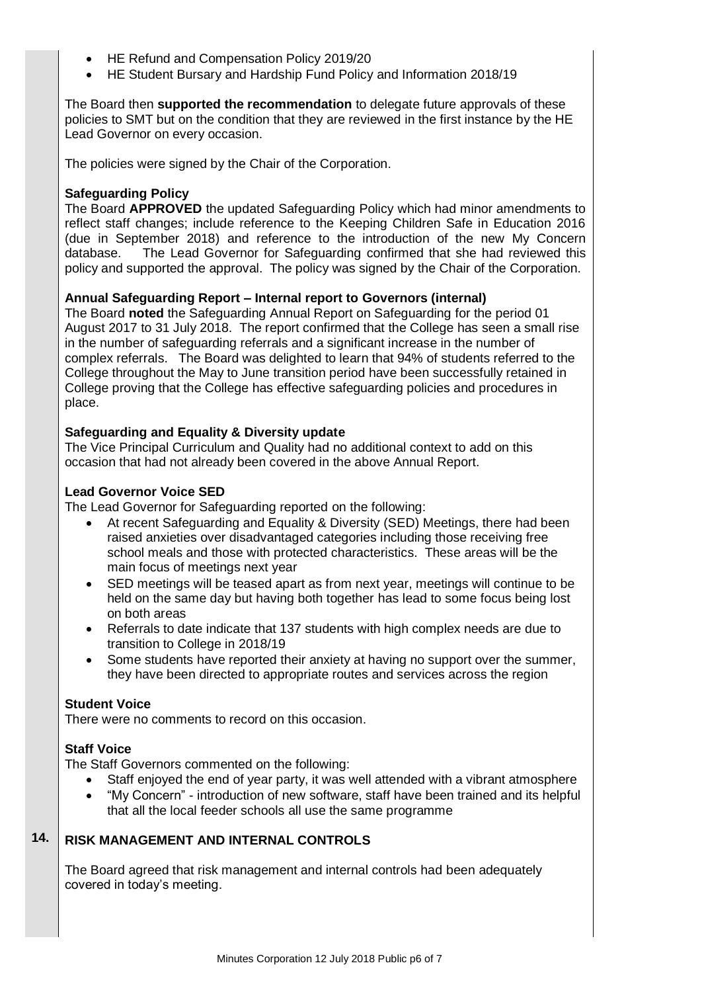- HE Refund and Compensation Policy 2019/20
- HE Student Bursary and Hardship Fund Policy and Information 2018/19

The Board then **supported the recommendation** to delegate future approvals of these policies to SMT but on the condition that they are reviewed in the first instance by the HE Lead Governor on every occasion.

The policies were signed by the Chair of the Corporation.

## **Safeguarding Policy**

The Board **APPROVED** the updated Safeguarding Policy which had minor amendments to reflect staff changes; include reference to the Keeping Children Safe in Education 2016 (due in September 2018) and reference to the introduction of the new My Concern database. The Lead Governor for Safeguarding confirmed that she had reviewed this policy and supported the approval. The policy was signed by the Chair of the Corporation.

## **Annual Safeguarding Report – Internal report to Governors (internal)**

The Board **noted** the Safeguarding Annual Report on Safeguarding for the period 01 August 2017 to 31 July 2018. The report confirmed that the College has seen a small rise in the number of safeguarding referrals and a significant increase in the number of complex referrals. The Board was delighted to learn that 94% of students referred to the College throughout the May to June transition period have been successfully retained in College proving that the College has effective safeguarding policies and procedures in place.

### **Safeguarding and Equality & Diversity update**

The Vice Principal Curriculum and Quality had no additional context to add on this occasion that had not already been covered in the above Annual Report.

## **Lead Governor Voice SED**

The Lead Governor for Safeguarding reported on the following:

- At recent Safeguarding and Equality & Diversity (SED) Meetings, there had been raised anxieties over disadvantaged categories including those receiving free school meals and those with protected characteristics. These areas will be the main focus of meetings next year
- SED meetings will be teased apart as from next year, meetings will continue to be held on the same day but having both together has lead to some focus being lost on both areas
- Referrals to date indicate that 137 students with high complex needs are due to transition to College in 2018/19
- Some students have reported their anxiety at having no support over the summer, they have been directed to appropriate routes and services across the region

### **Student Voice**

There were no comments to record on this occasion.

# **Staff Voice**

The Staff Governors commented on the following:

- Staff enjoyed the end of year party, it was well attended with a vibrant atmosphere
- "My Concern" introduction of new software, staff have been trained and its helpful that all the local feeder schools all use the same programme

### **14. RISK MANAGEMENT AND INTERNAL CONTROLS**

The Board agreed that risk management and internal controls had been adequately covered in today's meeting.